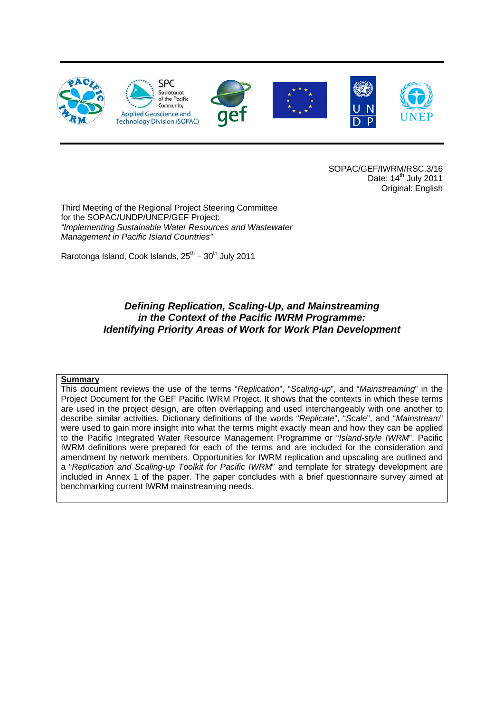

SOPAC/GEF/IWRM/RSC.3/16 Date:  $14<sup>th</sup>$  July 2011 Original: English

Third Meeting of the Regional Project Steering Committee for the SOPAC/UNDP/UNEP/GEF Project: *"Implementing Sustainable Water Resources and Wastewater Management in Pacific Island Countries"* 

Rarotonga Island, Cook Islands,  $25^{th} - 30^{th}$  July 2011

#### *Defining Replication, Scaling-Up, and Mainstreaming in the Context of the Pacific IWRM Programme: Identifying Priority Areas of Work for Work Plan Development*

#### **Summary**

This document reviews the use of the terms "*Replication*", "*Scaling-up*", and "*Mainstreaming*" in the Project Document for the GEF Pacific IWRM Project. It shows that the contexts in which these terms are used in the project design, are often overlapping and used interchangeably with one another to describe similar activities. Dictionary definitions of the words "*Replicate*", "*Scale*", and "*Mainstream*" were used to gain more insight into what the terms might exactly mean and how they can be applied to the Pacific Integrated Water Resource Management Programme or "*Island-style IWRM*". Pacific IWRM definitions were prepared for each of the terms and are included for the consideration and amendment by network members. Opportunities for IWRM replication and upscaling are outlined and a "*Replication and Scaling-up Toolkit for Pacific IWRM*" and template for strategy development are included in Annex 1 of the paper. The paper concludes with a brief questionnaire survey aimed at benchmarking current IWRM mainstreaming needs.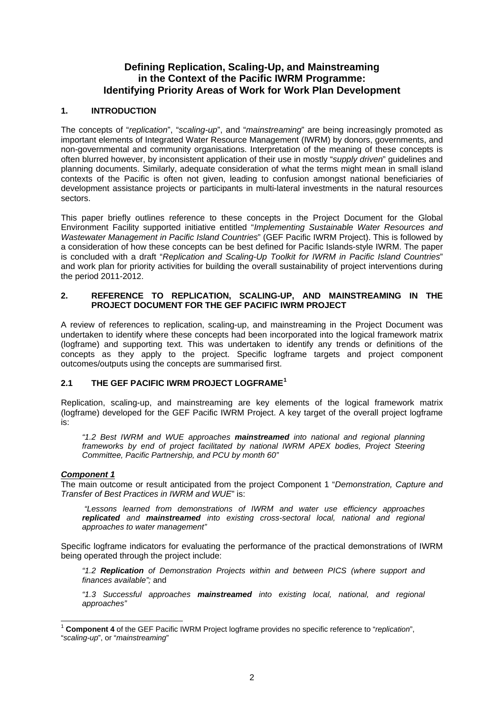#### **Defining Replication, Scaling-Up, and Mainstreaming in the Context of the Pacific IWRM Programme: Identifying Priority Areas of Work for Work Plan Development**

#### **1. INTRODUCTION**

The concepts of "*replication*", "*scaling-up*", and "*mainstreaming*" are being increasingly promoted as important elements of Integrated Water Resource Management (IWRM) by donors, governments, and non-governmental and community organisations. Interpretation of the meaning of these concepts is often blurred however, by inconsistent application of their use in mostly "*supply driven*" guidelines and planning documents. Similarly, adequate consideration of what the terms might mean in small island contexts of the Pacific is often not given, leading to confusion amongst national beneficiaries of development assistance projects or participants in multi-lateral investments in the natural resources sectors.

This paper briefly outlines reference to these concepts in the Project Document for the Global Environment Facility supported initiative entitled "*Implementing Sustainable Water Resources and Wastewater Management in Pacific Island Countries*" (GEF Pacific IWRM Project). This is followed by a consideration of how these concepts can be best defined for Pacific Islands-style IWRM. The paper is concluded with a draft "*Replication and Scaling-Up Toolkit for IWRM in Pacific Island Countries*" and work plan for priority activities for building the overall sustainability of project interventions during the period 2011-2012.

#### **2. REFERENCE TO REPLICATION, SCALING-UP, AND MAINSTREAMING IN THE PROJECT DOCUMENT FOR THE GEF PACIFIC IWRM PROJECT**

A review of references to replication, scaling-up, and mainstreaming in the Project Document was undertaken to identify where these concepts had been incorporated into the logical framework matrix (logframe) and supporting text. This was undertaken to identify any trends or definitions of the concepts as they apply to the project. Specific logframe targets and project component outcomes/outputs using the concepts are summarised first.

#### **2.1 THE GEF PACIFIC IWRM PROJECT LOGFRAME[1](#page-1-0)**

Replication, scaling-up, and mainstreaming are key elements of the logical framework matrix (logframe) developed for the GEF Pacific IWRM Project. A key target of the overall project logframe is:

*"1.2 Best IWRM and WUE approaches mainstreamed into national and regional planning frameworks by end of project facilitated by national IWRM APEX bodies, Project Steering Committee, Pacific Partnership, and PCU by month 60"*

#### *Component 1*

The main outcome or result anticipated from the project Component 1 "*Demonstration, Capture and Transfer of Best Practices in IWRM and WUE*" is:

 *"Lessons learned from demonstrations of IWRM and water use efficiency approaches replicated and mainstreamed into existing cross-sectoral local, national and regional approaches to water management"* 

Specific logframe indicators for evaluating the performance of the practical demonstrations of IWRM being operated through the project include:

*"1.2 Replication of Demonstration Projects within and between PICS (where support and finances available";* and

*"1.3 Successful approaches mainstreamed into existing local, national, and regional approaches"* 

<span id="page-1-0"></span><sup>-</sup><sup>1</sup> **Component 4** of the GEF Pacific IWRM Project logframe provides no specific reference to "*replication*", "*scaling-up*", or "*mainstreaming*"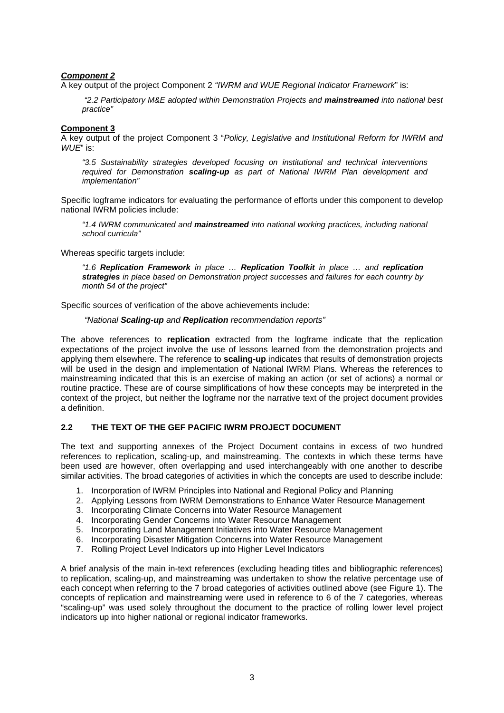#### *Component 2*

A key output of the project Component 2 *"IWRM and WUE Regional Indicator Framework*" is:

 *"2.2 Participatory M&E adopted within Demonstration Projects and mainstreamed into national best practice"* 

#### **Component 3**

A key output of the project Component 3 "*Policy, Legislative and Institutional Reform for IWRM and WUE*" is:

*"3.5 Sustainability strategies developed focusing on institutional and technical interventions required for Demonstration scaling-up as part of National IWRM Plan development and implementation"* 

Specific logframe indicators for evaluating the performance of efforts under this component to develop national IWRM policies include:

*"1.4 IWRM communicated and mainstreamed into national working practices, including national school curricula"* 

Whereas specific targets include:

*"1.6 Replication Framework in place … Replication Toolkit in place … and replication strategies in place based on Demonstration project successes and failures for each country by month 54 of the project"* 

Specific sources of verification of the above achievements include:

#### *"National Scaling-up and Replication recommendation reports"*

The above references to **replication** extracted from the logframe indicate that the replication expectations of the project involve the use of lessons learned from the demonstration projects and applying them elsewhere. The reference to **scaling-up** indicates that results of demonstration projects will be used in the design and implementation of National IWRM Plans. Whereas the references to mainstreaming indicated that this is an exercise of making an action (or set of actions) a normal or routine practice. These are of course simplifications of how these concepts may be interpreted in the context of the project, but neither the logframe nor the narrative text of the project document provides a definition.

#### **2.2 THE TEXT OF THE GEF PACIFIC IWRM PROJECT DOCUMENT**

The text and supporting annexes of the Project Document contains in excess of two hundred references to replication, scaling-up, and mainstreaming. The contexts in which these terms have been used are however, often overlapping and used interchangeably with one another to describe similar activities. The broad categories of activities in which the concepts are used to describe include:

- 1. Incorporation of IWRM Principles into National and Regional Policy and Planning
- 2. Applying Lessons from IWRM Demonstrations to Enhance Water Resource Management
- 3. Incorporating Climate Concerns into Water Resource Management
- 4. Incorporating Gender Concerns into Water Resource Management
- 5. Incorporating Land Management Initiatives into Water Resource Management
- 6. Incorporating Disaster Mitigation Concerns into Water Resource Management
- 7. Rolling Project Level Indicators up into Higher Level Indicators

A brief analysis of the main in-text references (excluding heading titles and bibliographic references) to replication, scaling-up, and mainstreaming was undertaken to show the relative percentage use of each concept when referring to the 7 broad categories of activities outlined above (see Figure 1). The concepts of replication and mainstreaming were used in reference to 6 of the 7 categories, whereas "scaling-up" was used solely throughout the document to the practice of rolling lower level project indicators up into higher national or regional indicator frameworks.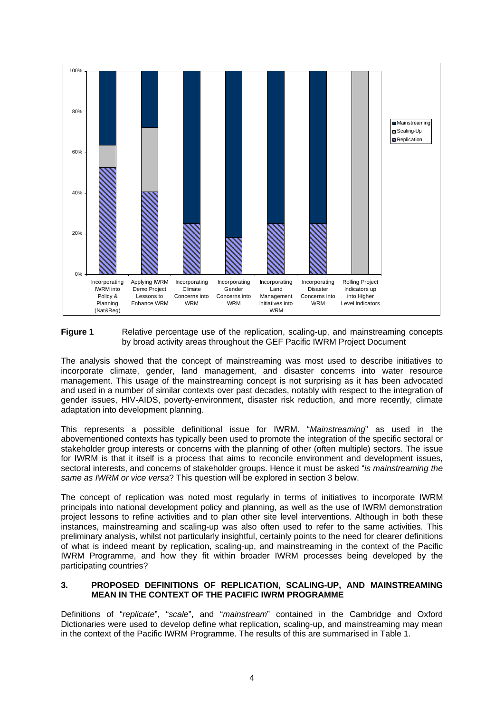

**Figure 1** Relative percentage use of the replication, scaling-up, and mainstreaming concepts by broad activity areas throughout the GEF Pacific IWRM Project Document

The analysis showed that the concept of mainstreaming was most used to describe initiatives to incorporate climate, gender, land management, and disaster concerns into water resource management. This usage of the mainstreaming concept is not surprising as it has been advocated and used in a number of similar contexts over past decades, notably with respect to the integration of gender issues, HIV-AIDS, poverty-environment, disaster risk reduction, and more recently, climate adaptation into development planning.

This represents a possible definitional issue for IWRM. "*Mainstreaming*" as used in the abovementioned contexts has typically been used to promote the integration of the specific sectoral or stakeholder group interests or concerns with the planning of other (often multiple) sectors. The issue for IWRM is that it itself is a process that aims to reconcile environment and development issues, sectoral interests, and concerns of stakeholder groups. Hence it must be asked "*is mainstreaming the same as IWRM or vice versa*? This question will be explored in section 3 below.

The concept of replication was noted most regularly in terms of initiatives to incorporate IWRM principals into national development policy and planning, as well as the use of IWRM demonstration project lessons to refine activities and to plan other site level interventions. Although in both these instances, mainstreaming and scaling-up was also often used to refer to the same activities. This preliminary analysis, whilst not particularly insightful, certainly points to the need for clearer definitions of what is indeed meant by replication, scaling-up, and mainstreaming in the context of the Pacific IWRM Programme, and how they fit within broader IWRM processes being developed by the participating countries?

#### **3. PROPOSED DEFINITIONS OF REPLICATION, SCALING-UP, AND MAINSTREAMING MEAN IN THE CONTEXT OF THE PACIFIC IWRM PROGRAMME**

Definitions of "*replicate*", "*scale*", and "*mainstream*" contained in the Cambridge and Oxford Dictionaries were used to develop define what replication, scaling-up, and mainstreaming may mean in the context of the Pacific IWRM Programme. The results of this are summarised in Table 1.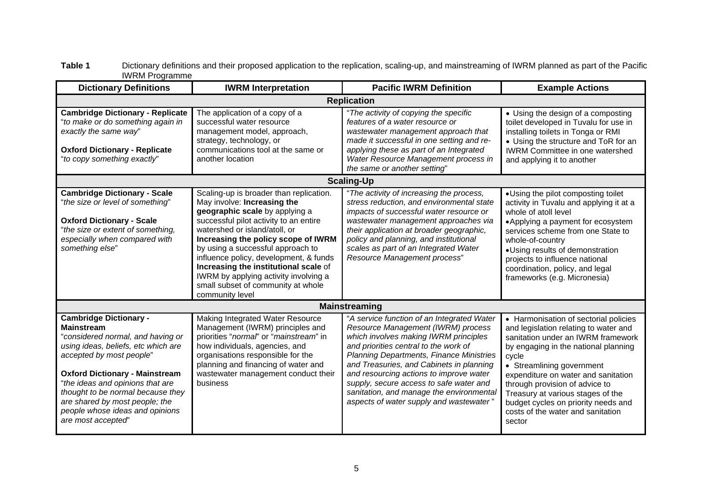| ivvisivi i rugitarimit<br><b>Dictionary Definitions</b>                                                                                                                                                                                                                                                                                                                 | <b>IWRM</b> Interpretation                                                                                                                                                                                                                                                                                                                                                                                                                           | <b>Pacific IWRM Definition</b>                                                                                                                                                                                                                                                                                                                                                                                                                 | <b>Example Actions</b>                                                                                                                                                                                                                                                                                                                                                                                 |  |  |  |
|-------------------------------------------------------------------------------------------------------------------------------------------------------------------------------------------------------------------------------------------------------------------------------------------------------------------------------------------------------------------------|------------------------------------------------------------------------------------------------------------------------------------------------------------------------------------------------------------------------------------------------------------------------------------------------------------------------------------------------------------------------------------------------------------------------------------------------------|------------------------------------------------------------------------------------------------------------------------------------------------------------------------------------------------------------------------------------------------------------------------------------------------------------------------------------------------------------------------------------------------------------------------------------------------|--------------------------------------------------------------------------------------------------------------------------------------------------------------------------------------------------------------------------------------------------------------------------------------------------------------------------------------------------------------------------------------------------------|--|--|--|
| <b>Replication</b>                                                                                                                                                                                                                                                                                                                                                      |                                                                                                                                                                                                                                                                                                                                                                                                                                                      |                                                                                                                                                                                                                                                                                                                                                                                                                                                |                                                                                                                                                                                                                                                                                                                                                                                                        |  |  |  |
| <b>Cambridge Dictionary - Replicate</b><br>"to make or do something again in<br>exactly the same way"<br><b>Oxford Dictionary - Replicate</b><br>"to copy something exactly"                                                                                                                                                                                            | The application of a copy of a<br>successful water resource<br>management model, approach,<br>strategy, technology, or<br>communications tool at the same or<br>another location                                                                                                                                                                                                                                                                     | "The activity of copying the specific<br>features of a water resource or<br>wastewater management approach that<br>made it successful in one setting and re-<br>applying these as part of an Integrated<br>Water Resource Management process in<br>the same or another setting"                                                                                                                                                                | • Using the design of a composting<br>toilet developed in Tuvalu for use in<br>installing toilets in Tonga or RMI<br>• Using the structure and ToR for an<br><b>IWRM Committee in one watershed</b><br>and applying it to another                                                                                                                                                                      |  |  |  |
|                                                                                                                                                                                                                                                                                                                                                                         |                                                                                                                                                                                                                                                                                                                                                                                                                                                      | <b>Scaling-Up</b>                                                                                                                                                                                                                                                                                                                                                                                                                              |                                                                                                                                                                                                                                                                                                                                                                                                        |  |  |  |
| <b>Cambridge Dictionary - Scale</b><br>"the size or level of something"<br><b>Oxford Dictionary - Scale</b><br>"the size or extent of something,<br>especially when compared with<br>something else"                                                                                                                                                                    | Scaling-up is broader than replication.<br>May involve: Increasing the<br>geographic scale by applying a<br>successful pilot activity to an entire<br>watershed or island/atoll, or<br>Increasing the policy scope of IWRM<br>by using a successful approach to<br>influence policy, development, & funds<br>Increasing the institutional scale of<br>IWRM by applying activity involving a<br>small subset of community at whole<br>community level | "The activity of increasing the process,<br>stress reduction, and environmental state<br>impacts of successful water resource or<br>wastewater management approaches via<br>their application at broader geographic,<br>policy and planning, and institutional<br>scales as part of an Integrated Water<br>Resource Management process"                                                                                                        | • Using the pilot composting toilet<br>activity in Tuvalu and applying it at a<br>whole of atoll level<br>• Applying a payment for ecosystem<br>services scheme from one State to<br>whole-of-country<br>• Using results of demonstration<br>projects to influence national<br>coordination, policy, and legal<br>frameworks (e.g. Micronesia)                                                         |  |  |  |
|                                                                                                                                                                                                                                                                                                                                                                         |                                                                                                                                                                                                                                                                                                                                                                                                                                                      | <b>Mainstreaming</b>                                                                                                                                                                                                                                                                                                                                                                                                                           |                                                                                                                                                                                                                                                                                                                                                                                                        |  |  |  |
| <b>Cambridge Dictionary -</b><br><b>Mainstream</b><br>"considered normal, and having or<br>using ideas, beliefs, etc which are<br>accepted by most people"<br><b>Oxford Dictionary - Mainstream</b><br>"the ideas and opinions that are<br>thought to be normal because they<br>are shared by most people; the<br>people whose ideas and opinions<br>are most accepted" | Making Integrated Water Resource<br>Management (IWRM) principles and<br>priorities "normal" or "mainstream" in<br>how individuals, agencies, and<br>organisations responsible for the<br>planning and financing of water and<br>wastewater management conduct their<br>business                                                                                                                                                                      | "A service function of an Integrated Water<br>Resource Management (IWRM) process<br>which involves making IWRM principles<br>and priorities central to the work of<br><b>Planning Departments, Finance Ministries</b><br>and Treasuries, and Cabinets in planning<br>and resourcing actions to improve water<br>supply, secure access to safe water and<br>sanitation, and manage the environmental<br>aspects of water supply and wastewater" | • Harmonisation of sectorial policies<br>and legislation relating to water and<br>sanitation under an IWRM framework<br>by engaging in the national planning<br>cycle<br>• Streamlining government<br>expenditure on water and sanitation<br>through provision of advice to<br>Treasury at various stages of the<br>budget cycles on priority needs and<br>costs of the water and sanitation<br>sector |  |  |  |

#### **Table 1** Dictionary definitions and their proposed application to the replication, scaling-up, and mainstreaming of IWRM planned as part of the Pacific IWRM Programme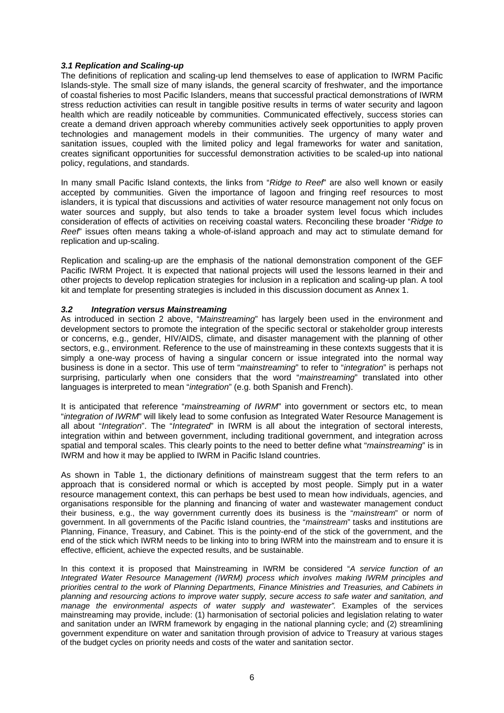#### *3.1 Replication and Scaling-up*

The definitions of replication and scaling-up lend themselves to ease of application to IWRM Pacific Islands-style. The small size of many islands, the general scarcity of freshwater, and the importance of coastal fisheries to most Pacific Islanders, means that successful practical demonstrations of IWRM stress reduction activities can result in tangible positive results in terms of water security and lagoon health which are readily noticeable by communities. Communicated effectively, success stories can create a demand driven approach whereby communities actively seek opportunities to apply proven technologies and management models in their communities. The urgency of many water and sanitation issues, coupled with the limited policy and legal frameworks for water and sanitation, creates significant opportunities for successful demonstration activities to be scaled-up into national policy, regulations, and standards.

In many small Pacific Island contexts, the links from "*Ridge to Reef*" are also well known or easily accepted by communities. Given the importance of lagoon and fringing reef resources to most islanders, it is typical that discussions and activities of water resource management not only focus on water sources and supply, but also tends to take a broader system level focus which includes consideration of effects of activities on receiving coastal waters. Reconciling these broader "*Ridge to Reef*" issues often means taking a whole-of-island approach and may act to stimulate demand for replication and up-scaling.

Replication and scaling-up are the emphasis of the national demonstration component of the GEF Pacific IWRM Project. It is expected that national projects will used the lessons learned in their and other projects to develop replication strategies for inclusion in a replication and scaling-up plan. A tool kit and template for presenting strategies is included in this discussion document as Annex 1.

#### *3.2 Integration versus Mainstreaming*

As introduced in section 2 above, "*Mainstreaming*" has largely been used in the environment and development sectors to promote the integration of the specific sectoral or stakeholder group interests or concerns, e.g., gender, HIV/AIDS, climate, and disaster management with the planning of other sectors, e.g., environment. Reference to the use of mainstreaming in these contexts suggests that it is simply a one-way process of having a singular concern or issue integrated into the normal way business is done in a sector. This use of term "*mainstreaming*" to refer to "*integration*" is perhaps not surprising, particularly when one considers that the word "*mainstreaming*" translated into other languages is interpreted to mean "*integration*" (e.g. both Spanish and French).

It is anticipated that reference "*mainstreaming of IWRM*" into government or sectors etc, to mean "*integration of IWRM*" will likely lead to some confusion as Integrated Water Resource Management is all about "*Integration*". The "*Integrated*" in IWRM is all about the integration of sectoral interests, integration within and between government, including traditional government, and integration across spatial and temporal scales. This clearly points to the need to better define what "*mainstreaming*" is in IWRM and how it may be applied to IWRM in Pacific Island countries.

As shown in Table 1, the dictionary definitions of mainstream suggest that the term refers to an approach that is considered normal or which is accepted by most people. Simply put in a water resource management context, this can perhaps be best used to mean how individuals, agencies, and organisations responsible for the planning and financing of water and wastewater management conduct their business, e.g., the way government currently does its business is the "*mainstream*" or norm of government. In all governments of the Pacific Island countries, the "*mainstream*" tasks and institutions are Planning, Finance, Treasury, and Cabinet. This is the pointy-end of the stick of the government, and the end of the stick which IWRM needs to be linking into to bring IWRM into the mainstream and to ensure it is effective, efficient, achieve the expected results, and be sustainable.

In this context it is proposed that Mainstreaming in IWRM be considered "*A service function of an Integrated Water Resource Management (IWRM) process which involves making IWRM principles and priorities central to the work of Planning Departments, Finance Ministries and Treasuries, and Cabinets in planning and resourcing actions to improve water supply, secure access to safe water and sanitation, and manage the environmental aspects of water supply and wastewater*". Examples of the services mainstreaming may provide, include: (1) harmonisation of sectorial policies and legislation relating to water and sanitation under an IWRM framework by engaging in the national planning cycle; and (2) streamlining government expenditure on water and sanitation through provision of advice to Treasury at various stages of the budget cycles on priority needs and costs of the water and sanitation sector.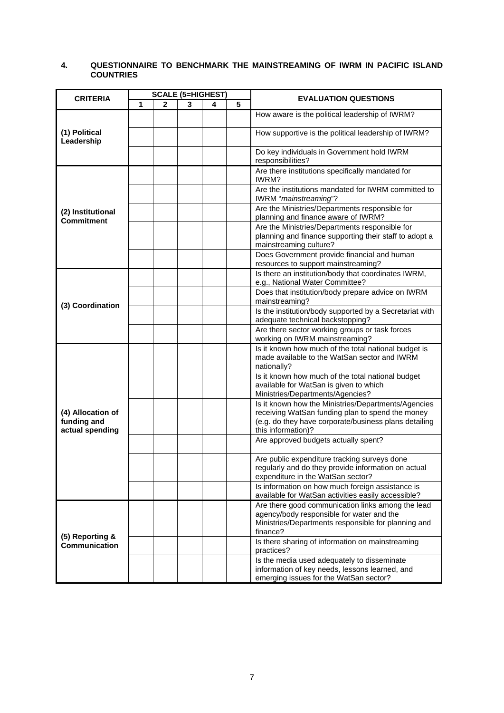#### **4. QUESTIONNAIRE TO BENCHMARK THE MAINSTREAMING OF IWRM IN PACIFIC ISLAND COUNTRIES**

| <b>CRITERIA</b>                                     | <b>SCALE (5=HIGHEST)</b> |             |   |   |   | <b>EVALUATION QUESTIONS</b>                                                                                                                                                            |
|-----------------------------------------------------|--------------------------|-------------|---|---|---|----------------------------------------------------------------------------------------------------------------------------------------------------------------------------------------|
|                                                     | 1                        | $\mathbf 2$ | 3 | 4 | 5 |                                                                                                                                                                                        |
|                                                     |                          |             |   |   |   | How aware is the political leadership of IWRM?                                                                                                                                         |
| (1) Political<br>Leadership                         |                          |             |   |   |   | How supportive is the political leadership of IWRM?                                                                                                                                    |
|                                                     |                          |             |   |   |   | Do key individuals in Government hold IWRM<br>responsibilities?                                                                                                                        |
|                                                     |                          |             |   |   |   | Are there institutions specifically mandated for<br>IWRM?                                                                                                                              |
|                                                     |                          |             |   |   |   | Are the institutions mandated for IWRM committed to<br>IWRM "mainstreaming"?                                                                                                           |
| (2) Institutional<br><b>Commitment</b>              |                          |             |   |   |   | Are the Ministries/Departments responsible for<br>planning and finance aware of IWRM?                                                                                                  |
|                                                     |                          |             |   |   |   | Are the Ministries/Departments responsible for<br>planning and finance supporting their staff to adopt a<br>mainstreaming culture?                                                     |
|                                                     |                          |             |   |   |   | Does Government provide financial and human<br>resources to support mainstreaming?                                                                                                     |
|                                                     |                          |             |   |   |   | Is there an institution/body that coordinates IWRM,<br>e.g., National Water Committee?                                                                                                 |
| (3) Coordination                                    |                          |             |   |   |   | Does that institution/body prepare advice on IWRM<br>mainstreaming?                                                                                                                    |
|                                                     |                          |             |   |   |   | Is the institution/body supported by a Secretariat with<br>adequate technical backstopping?                                                                                            |
|                                                     |                          |             |   |   |   | Are there sector working groups or task forces<br>working on IWRM mainstreaming?                                                                                                       |
|                                                     |                          |             |   |   |   | Is it known how much of the total national budget is<br>made available to the WatSan sector and IWRM<br>nationally?                                                                    |
|                                                     |                          |             |   |   |   | Is it known how much of the total national budget<br>available for WatSan is given to which<br>Ministries/Departments/Agencies?                                                        |
| (4) Allocation of<br>funding and<br>actual spending |                          |             |   |   |   | Is it known how the Ministries/Departments/Agencies<br>receiving WatSan funding plan to spend the money<br>(e.g. do they have corporate/business plans detailing<br>this information)? |
|                                                     |                          |             |   |   |   | Are approved budgets actually spent?                                                                                                                                                   |
|                                                     |                          |             |   |   |   | Are public expenditure tracking surveys done<br>regularly and do they provide information on actual<br>expenditure in the WatSan sector?                                               |
|                                                     |                          |             |   |   |   | Is information on how much foreign assistance is<br>available for WatSan activities easily accessible?                                                                                 |
|                                                     |                          |             |   |   |   | Are there good communication links among the lead<br>agency/body responsible for water and the<br>Ministries/Departments responsible for planning and<br>finance?                      |
| (5) Reporting &<br>Communication                    |                          |             |   |   |   | Is there sharing of information on mainstreaming<br>practices?                                                                                                                         |
|                                                     |                          |             |   |   |   | Is the media used adequately to disseminate<br>information of key needs, lessons learned, and<br>emerging issues for the WatSan sector?                                                |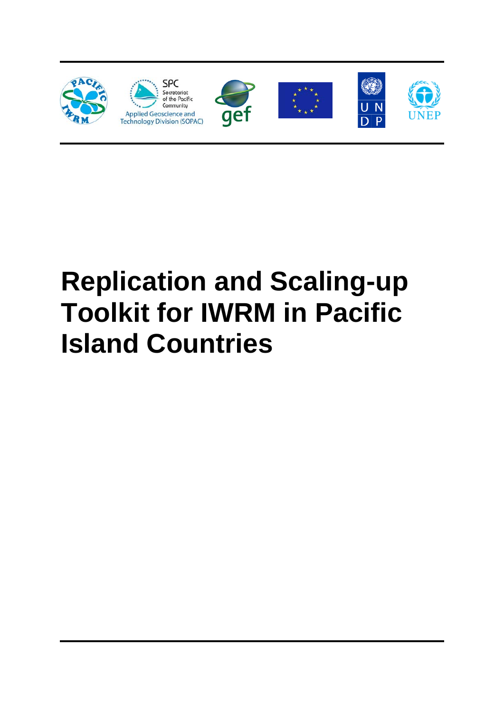

# **Replication and Scaling-up Toolkit for IWRM in Pacific Island Countries**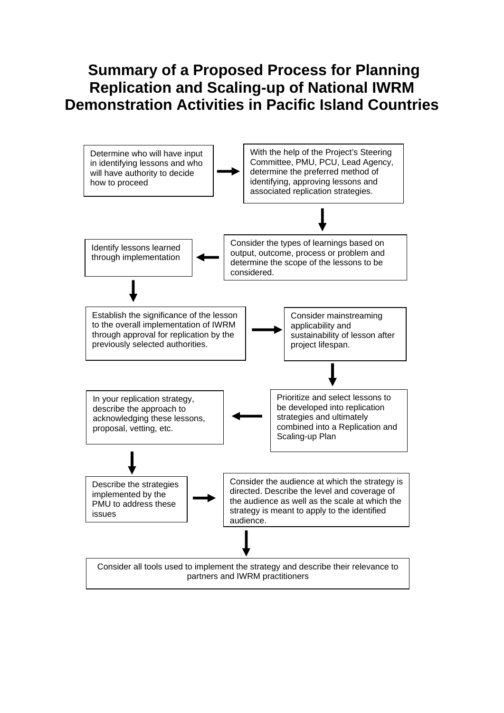## **Summary of a Proposed Process for Planning Replication and Scaling-up of National IWRM Demonstration Activities in Pacific Island Countries**

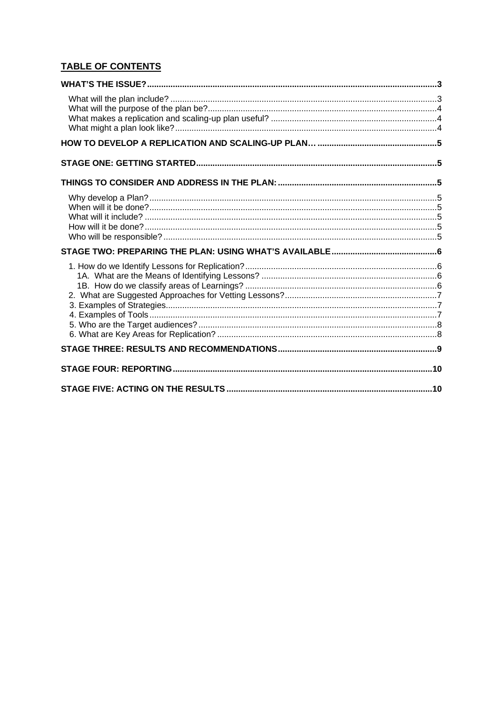#### **TABLE OF CONTENTS**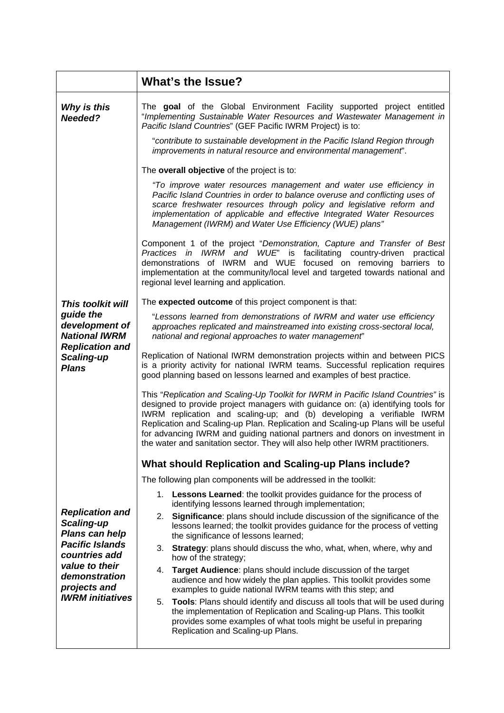<span id="page-10-0"></span>

|                                                                                                                                                      | What's the Issue?                                                                                                                                                                                                                                                                                                                                                                                                                                                                                    |  |  |  |
|------------------------------------------------------------------------------------------------------------------------------------------------------|------------------------------------------------------------------------------------------------------------------------------------------------------------------------------------------------------------------------------------------------------------------------------------------------------------------------------------------------------------------------------------------------------------------------------------------------------------------------------------------------------|--|--|--|
| Why is this<br>Needed?                                                                                                                               | The goal of the Global Environment Facility supported project entitled<br>"Implementing Sustainable Water Resources and Wastewater Management in<br>Pacific Island Countries" (GEF Pacific IWRM Project) is to:                                                                                                                                                                                                                                                                                      |  |  |  |
|                                                                                                                                                      | "contribute to sustainable development in the Pacific Island Region through<br>improvements in natural resource and environmental management".                                                                                                                                                                                                                                                                                                                                                       |  |  |  |
|                                                                                                                                                      | The overall objective of the project is to:                                                                                                                                                                                                                                                                                                                                                                                                                                                          |  |  |  |
|                                                                                                                                                      | "To improve water resources management and water use efficiency in<br>Pacific Island Countries in order to balance overuse and conflicting uses of<br>scarce freshwater resources through policy and legislative reform and<br>implementation of applicable and effective Integrated Water Resources<br>Management (IWRM) and Water Use Efficiency (WUE) plans"                                                                                                                                      |  |  |  |
|                                                                                                                                                      | Component 1 of the project "Demonstration, Capture and Transfer of Best<br>Practices in IWRM and WUE" is facilitating country-driven practical<br>demonstrations of IWRM and WUE focused on removing barriers to<br>implementation at the community/local level and targeted towards national and<br>regional level learning and application.                                                                                                                                                        |  |  |  |
| This toolkit will                                                                                                                                    | The expected outcome of this project component is that:                                                                                                                                                                                                                                                                                                                                                                                                                                              |  |  |  |
| guide the<br>development of<br><b>National IWRM</b>                                                                                                  | "Lessons learned from demonstrations of IWRM and water use efficiency<br>approaches replicated and mainstreamed into existing cross-sectoral local,<br>national and regional approaches to water management"                                                                                                                                                                                                                                                                                         |  |  |  |
| <b>Replication and</b><br>Scaling-up<br><b>Plans</b>                                                                                                 | Replication of National IWRM demonstration projects within and between PICS<br>is a priority activity for national IWRM teams. Successful replication requires<br>good planning based on lessons learned and examples of best practice.                                                                                                                                                                                                                                                              |  |  |  |
|                                                                                                                                                      | This "Replication and Scaling-Up Toolkit for IWRM in Pacific Island Countries" is<br>designed to provide project managers with guidance on: (a) identifying tools for<br>IWRM replication and scaling-up; and (b) developing a verifiable IWRM<br>Replication and Scaling-up Plan. Replication and Scaling-up Plans will be useful<br>for advancing IWRM and guiding national partners and donors on investment in<br>the water and sanitation sector. They will also help other IWRM practitioners. |  |  |  |
|                                                                                                                                                      | <b>What should Replication and Scaling-up Plans include?</b>                                                                                                                                                                                                                                                                                                                                                                                                                                         |  |  |  |
|                                                                                                                                                      | The following plan components will be addressed in the toolkit:                                                                                                                                                                                                                                                                                                                                                                                                                                      |  |  |  |
|                                                                                                                                                      | 1. Lessons Learned: the toolkit provides guidance for the process of<br>identifying lessons learned through implementation;                                                                                                                                                                                                                                                                                                                                                                          |  |  |  |
| <b>Replication and</b><br>Scaling-up<br>Plans can help<br><b>Pacific Islands</b><br>countries add<br>value to their<br>demonstration<br>projects and | Significance: plans should include discussion of the significance of the<br>2.<br>lessons learned; the toolkit provides guidance for the process of vetting<br>the significance of lessons learned;                                                                                                                                                                                                                                                                                                  |  |  |  |
|                                                                                                                                                      | Strategy: plans should discuss the who, what, when, where, why and<br>3.<br>how of the strategy;                                                                                                                                                                                                                                                                                                                                                                                                     |  |  |  |
|                                                                                                                                                      | Target Audience: plans should include discussion of the target<br>4.<br>audience and how widely the plan applies. This toolkit provides some<br>examples to guide national IWRM teams with this step; and                                                                                                                                                                                                                                                                                            |  |  |  |
| <b>IWRM</b> initiatives                                                                                                                              | Tools: Plans should identify and discuss all tools that will be used during<br>5.<br>the implementation of Replication and Scaling-up Plans. This toolkit<br>provides some examples of what tools might be useful in preparing<br>Replication and Scaling-up Plans.                                                                                                                                                                                                                                  |  |  |  |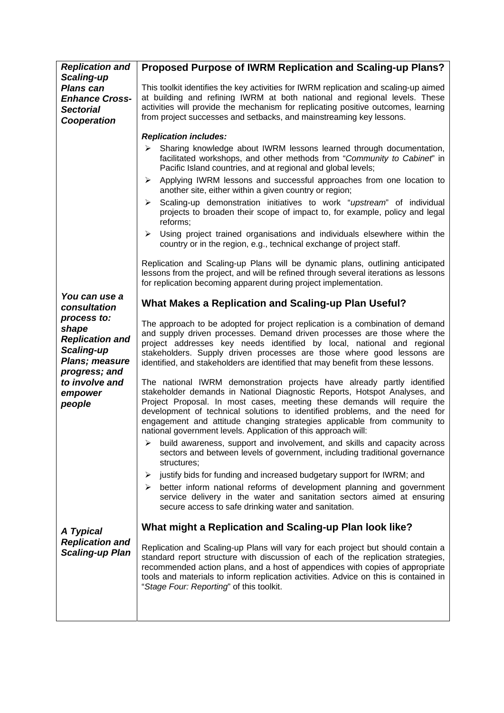<span id="page-11-0"></span>

| <b>Replication and</b>                                                                            | Proposed Purpose of IWRM Replication and Scaling-up Plans?                                                                                                                                                                                                                                                                                                                                                                                                   |
|---------------------------------------------------------------------------------------------------|--------------------------------------------------------------------------------------------------------------------------------------------------------------------------------------------------------------------------------------------------------------------------------------------------------------------------------------------------------------------------------------------------------------------------------------------------------------|
| Scaling-up<br><b>Plans can</b><br><b>Enhance Cross-</b><br><b>Sectorial</b><br><b>Cooperation</b> | This toolkit identifies the key activities for IWRM replication and scaling-up aimed<br>at building and refining IWRM at both national and regional levels. These<br>activities will provide the mechanism for replicating positive outcomes, learning<br>from project successes and setbacks, and mainstreaming key lessons.                                                                                                                                |
|                                                                                                   | <b>Replication includes:</b>                                                                                                                                                                                                                                                                                                                                                                                                                                 |
|                                                                                                   | Sharing knowledge about IWRM lessons learned through documentation,<br>≻<br>facilitated workshops, and other methods from "Community to Cabinet" in<br>Pacific Island countries, and at regional and global levels;                                                                                                                                                                                                                                          |
|                                                                                                   | Applying IWRM lessons and successful approaches from one location to<br>≻<br>another site, either within a given country or region;                                                                                                                                                                                                                                                                                                                          |
|                                                                                                   | Scaling-up demonstration initiatives to work "upstream" of individual<br>≻<br>projects to broaden their scope of impact to, for example, policy and legal<br>reforms;                                                                                                                                                                                                                                                                                        |
|                                                                                                   | $\triangleright$ Using project trained organisations and individuals elsewhere within the<br>country or in the region, e.g., technical exchange of project staff.                                                                                                                                                                                                                                                                                            |
|                                                                                                   | Replication and Scaling-up Plans will be dynamic plans, outlining anticipated<br>lessons from the project, and will be refined through several iterations as lessons<br>for replication becoming apparent during project implementation.                                                                                                                                                                                                                     |
| You can use a<br>consultation                                                                     | What Makes a Replication and Scaling-up Plan Useful?                                                                                                                                                                                                                                                                                                                                                                                                         |
| process to:<br>shape<br><b>Replication and</b><br>Scaling-up<br><b>Plans; measure</b>             | The approach to be adopted for project replication is a combination of demand<br>and supply driven processes. Demand driven processes are those where the<br>project addresses key needs identified by local, national and regional<br>stakeholders. Supply driven processes are those where good lessons are<br>identified, and stakeholders are identified that may benefit from these lessons.                                                            |
| progress; and<br>to involve and<br>empower<br>people                                              | The national IWRM demonstration projects have already partly identified<br>stakeholder demands in National Diagnostic Reports, Hotspot Analyses, and<br>Project Proposal. In most cases, meeting these demands will require the<br>development of technical solutions to identified problems, and the need for<br>engagement and attitude changing strategies applicable from community to<br>national government levels. Application of this approach will: |
|                                                                                                   | build awareness, support and involvement, and skills and capacity across<br>≻<br>sectors and between levels of government, including traditional governance<br>structures;                                                                                                                                                                                                                                                                                   |
|                                                                                                   | justify bids for funding and increased budgetary support for IWRM; and<br>➤<br>better inform national reforms of development planning and government<br>➤<br>service delivery in the water and sanitation sectors aimed at ensuring<br>secure access to safe drinking water and sanitation.                                                                                                                                                                  |
| A Typical                                                                                         | What might a Replication and Scaling-up Plan look like?                                                                                                                                                                                                                                                                                                                                                                                                      |
| <b>Replication and</b><br><b>Scaling-up Plan</b>                                                  | Replication and Scaling-up Plans will vary for each project but should contain a<br>standard report structure with discussion of each of the replication strategies,<br>recommended action plans, and a host of appendices with copies of appropriate<br>tools and materials to inform replication activities. Advice on this is contained in<br>"Stage Four: Reporting" of this toolkit.                                                                    |
|                                                                                                   |                                                                                                                                                                                                                                                                                                                                                                                                                                                              |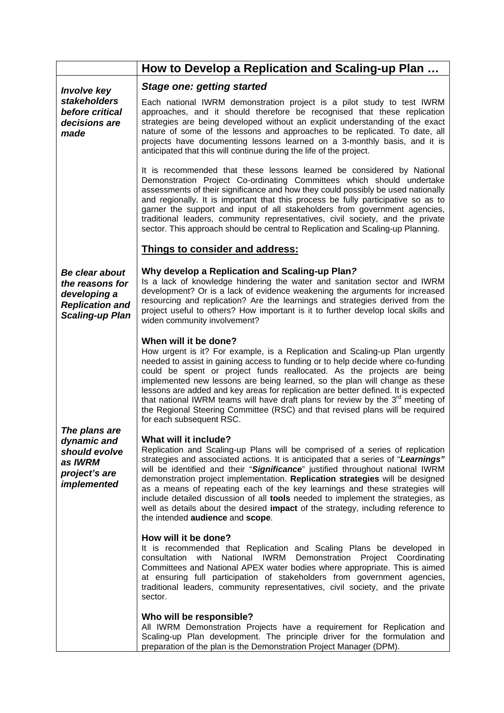<span id="page-12-0"></span>

|                                                                                                              | How to Develop a Replication and Scaling-up Plan                                                                                                                                                                                                                                                                                                                                                                                                                                                                                                                                                                                                         |
|--------------------------------------------------------------------------------------------------------------|----------------------------------------------------------------------------------------------------------------------------------------------------------------------------------------------------------------------------------------------------------------------------------------------------------------------------------------------------------------------------------------------------------------------------------------------------------------------------------------------------------------------------------------------------------------------------------------------------------------------------------------------------------|
| <b>Involve key</b>                                                                                           | <b>Stage one: getting started</b>                                                                                                                                                                                                                                                                                                                                                                                                                                                                                                                                                                                                                        |
| <b>stakeholders</b><br>before critical<br>decisions are<br>made                                              | Each national IWRM demonstration project is a pilot study to test IWRM<br>approaches, and it should therefore be recognised that these replication<br>strategies are being developed without an explicit understanding of the exact<br>nature of some of the lessons and approaches to be replicated. To date, all<br>projects have documenting lessons learned on a 3-monthly basis, and it is<br>anticipated that this will continue during the life of the project.                                                                                                                                                                                   |
|                                                                                                              | It is recommended that these lessons learned be considered by National<br>Demonstration Project Co-ordinating Committees which should undertake<br>assessments of their significance and how they could possibly be used nationally<br>and regionally. It is important that this process be fully participative so as to<br>garner the support and input of all stakeholders from government agencies,<br>traditional leaders, community representatives, civil society, and the private<br>sector. This approach should be central to Replication and Scaling-up Planning.                                                                              |
|                                                                                                              | Things to consider and address:                                                                                                                                                                                                                                                                                                                                                                                                                                                                                                                                                                                                                          |
| <b>Be clear about</b><br>the reasons for<br>developing a<br><b>Replication and</b><br><b>Scaling-up Plan</b> | Why develop a Replication and Scaling-up Plan?<br>Is a lack of knowledge hindering the water and sanitation sector and IWRM<br>development? Or is a lack of evidence weakening the arguments for increased<br>resourcing and replication? Are the learnings and strategies derived from the<br>project useful to others? How important is it to further develop local skills and<br>widen community involvement?                                                                                                                                                                                                                                         |
|                                                                                                              | When will it be done?<br>How urgent is it? For example, is a Replication and Scaling-up Plan urgently<br>needed to assist in gaining access to funding or to help decide where co-funding<br>could be spent or project funds reallocated. As the projects are being<br>implemented new lessons are being learned, so the plan will change as these<br>lessons are added and key areas for replication are better defined. It is expected<br>that national IWRM teams will have draft plans for review by the 3 <sup>rd</sup> meeting of<br>the Regional Steering Committee (RSC) and that revised plans will be required<br>for each subsequent RSC.     |
| The plans are<br>dynamic and<br>should evolve<br>as IWRM<br>project's are<br><i>implemented</i>              | What will it include?<br>Replication and Scaling-up Plans will be comprised of a series of replication<br>strategies and associated actions. It is anticipated that a series of "Learnings"<br>will be identified and their "Significance" justified throughout national IWRM<br>demonstration project implementation. Replication strategies will be designed<br>as a means of repeating each of the key learnings and these strategies will<br>include detailed discussion of all tools needed to implement the strategies, as<br>well as details about the desired impact of the strategy, including reference to<br>the intended audience and scope. |
|                                                                                                              | How will it be done?<br>It is recommended that Replication and Scaling Plans be developed in<br>with National IWRM Demonstration Project Coordinating<br>consultation<br>Committees and National APEX water bodies where appropriate. This is aimed<br>at ensuring full participation of stakeholders from government agencies,<br>traditional leaders, community representatives, civil society, and the private<br>sector.                                                                                                                                                                                                                             |
|                                                                                                              | Who will be responsible?<br>All IWRM Demonstration Projects have a requirement for Replication and<br>Scaling-up Plan development. The principle driver for the formulation and<br>preparation of the plan is the Demonstration Project Manager (DPM).                                                                                                                                                                                                                                                                                                                                                                                                   |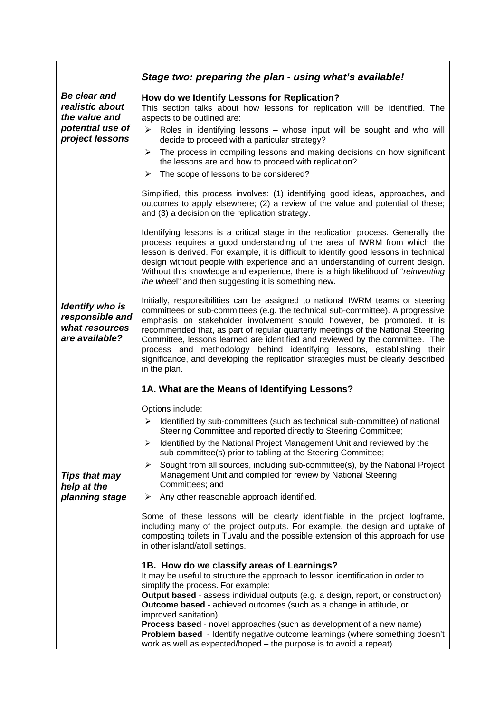<span id="page-13-0"></span>

|                                                                                         | Stage two: preparing the plan - using what's available!                                                                                                                                                                                                                                                                                                                                                                                                                                                                                                                                             |
|-----------------------------------------------------------------------------------------|-----------------------------------------------------------------------------------------------------------------------------------------------------------------------------------------------------------------------------------------------------------------------------------------------------------------------------------------------------------------------------------------------------------------------------------------------------------------------------------------------------------------------------------------------------------------------------------------------------|
| Be clear and<br>realistic about<br>the value and<br>potential use of<br>project lessons | How do we Identify Lessons for Replication?<br>This section talks about how lessons for replication will be identified. The<br>aspects to be outlined are:<br>Roles in identifying lessons - whose input will be sought and who will<br>$\blacktriangleright$<br>decide to proceed with a particular strategy?<br>The process in compiling lessons and making decisions on how significant<br>➤<br>the lessons are and how to proceed with replication?<br>The scope of lessons to be considered?<br>➤                                                                                              |
|                                                                                         | Simplified, this process involves: (1) identifying good ideas, approaches, and<br>outcomes to apply elsewhere; (2) a review of the value and potential of these;<br>and (3) a decision on the replication strategy.                                                                                                                                                                                                                                                                                                                                                                                 |
|                                                                                         | Identifying lessons is a critical stage in the replication process. Generally the<br>process requires a good understanding of the area of IWRM from which the<br>lesson is derived. For example, it is difficult to identify good lessons in technical<br>design without people with experience and an understanding of current design.<br>Without this knowledge and experience, there is a high likelihood of "reinventing"<br>the wheel" and then suggesting it is something new.                                                                                                                |
| <b>Identify who is</b><br>responsible and<br>what resources<br>are available?           | Initially, responsibilities can be assigned to national IWRM teams or steering<br>committees or sub-committees (e.g. the technical sub-committee). A progressive<br>emphasis on stakeholder involvement should however, be promoted. It is<br>recommended that, as part of regular quarterly meetings of the National Steering<br>Committee, lessons learned are identified and reviewed by the committee. The<br>process and methodology behind identifying lessons, establishing<br>their<br>significance, and developing the replication strategies must be clearly described<br>in the plan.    |
|                                                                                         | 1A. What are the Means of Identifying Lessons?                                                                                                                                                                                                                                                                                                                                                                                                                                                                                                                                                      |
|                                                                                         | Options include:<br>Identified by sub-committees (such as technical sub-committee) of national<br>≻<br>Steering Committee and reported directly to Steering Committee;<br>> Identified by the National Project Management Unit and reviewed by the<br>sub-committee(s) prior to tabling at the Steering Committee;                                                                                                                                                                                                                                                                                  |
| <b>Tips that may</b><br>help at the                                                     | Sought from all sources, including sub-committee(s), by the National Project<br>≻<br>Management Unit and compiled for review by National Steering<br>Committees; and                                                                                                                                                                                                                                                                                                                                                                                                                                |
| planning stage                                                                          | Any other reasonable approach identified.<br>➤                                                                                                                                                                                                                                                                                                                                                                                                                                                                                                                                                      |
|                                                                                         | Some of these lessons will be clearly identifiable in the project logframe,<br>including many of the project outputs. For example, the design and uptake of<br>composting toilets in Tuvalu and the possible extension of this approach for use<br>in other island/atoll settings.                                                                                                                                                                                                                                                                                                                  |
|                                                                                         | 1B. How do we classify areas of Learnings?<br>It may be useful to structure the approach to lesson identification in order to<br>simplify the process. For example:<br><b>Output based - assess individual outputs (e.g. a design, report, or construction)</b><br><b>Outcome based</b> - achieved outcomes (such as a change in attitude, or<br>improved sanitation)<br>Process based - novel approaches (such as development of a new name)<br>Problem based - Identify negative outcome learnings (where something doesn't<br>work as well as expected/hoped - the purpose is to avoid a repeat) |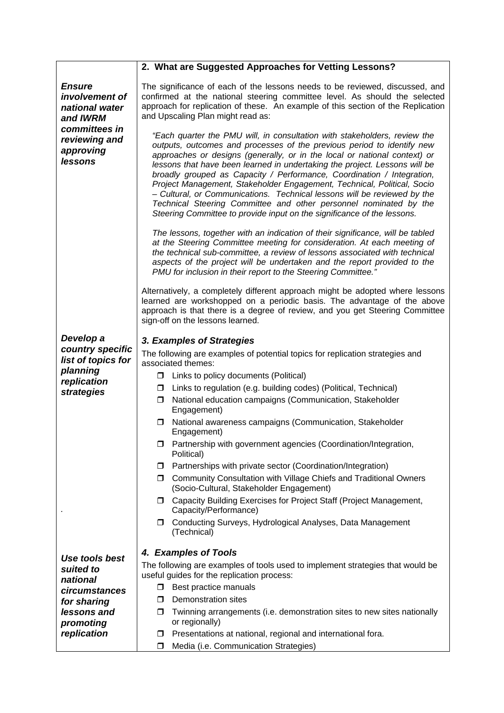<span id="page-14-0"></span>

|                                                                                                                                | 2. What are Suggested Approaches for Vetting Lessons?                                                                                                                                                                                                                                                                                                                                                                                                                                                                                                                                                                                                                                                                                                      |
|--------------------------------------------------------------------------------------------------------------------------------|------------------------------------------------------------------------------------------------------------------------------------------------------------------------------------------------------------------------------------------------------------------------------------------------------------------------------------------------------------------------------------------------------------------------------------------------------------------------------------------------------------------------------------------------------------------------------------------------------------------------------------------------------------------------------------------------------------------------------------------------------------|
| <b>Ensure</b><br>involvement of<br>national water<br>and <b>IWRM</b><br>committees in<br>reviewing and<br>approving<br>lessons | The significance of each of the lessons needs to be reviewed, discussed, and<br>confirmed at the national steering committee level. As should the selected<br>approach for replication of these. An example of this section of the Replication<br>and Upscaling Plan might read as:<br>"Each quarter the PMU will, in consultation with stakeholders, review the<br>outputs, outcomes and processes of the previous period to identify new<br>approaches or designs (generally, or in the local or national context) or<br>lessons that have been learned in undertaking the project. Lessons will be<br>broadly grouped as Capacity / Performance, Coordination / Integration,<br>Project Management, Stakeholder Engagement, Technical, Political, Socio |
|                                                                                                                                | - Cultural, or Communications. Technical lessons will be reviewed by the<br>Technical Steering Committee and other personnel nominated by the<br>Steering Committee to provide input on the significance of the lessons.                                                                                                                                                                                                                                                                                                                                                                                                                                                                                                                                   |
|                                                                                                                                | The lessons, together with an indication of their significance, will be tabled<br>at the Steering Committee meeting for consideration. At each meeting of<br>the technical sub-committee, a review of lessons associated with technical<br>aspects of the project will be undertaken and the report provided to the<br>PMU for inclusion in their report to the Steering Committee."                                                                                                                                                                                                                                                                                                                                                                       |
|                                                                                                                                | Alternatively, a completely different approach might be adopted where lessons<br>learned are workshopped on a periodic basis. The advantage of the above<br>approach is that there is a degree of review, and you get Steering Committee<br>sign-off on the lessons learned.                                                                                                                                                                                                                                                                                                                                                                                                                                                                               |
| Develop a<br>country specific<br>list of topics for<br>planning<br>replication                                                 | 3. Examples of Strategies<br>The following are examples of potential topics for replication strategies and<br>associated themes:<br>$\Box$ Links to policy documents (Political)                                                                                                                                                                                                                                                                                                                                                                                                                                                                                                                                                                           |
| strategies                                                                                                                     | Links to regulation (e.g. building codes) (Political, Technical)<br>□<br>National education campaigns (Communication, Stakeholder<br>□<br>Engagement)                                                                                                                                                                                                                                                                                                                                                                                                                                                                                                                                                                                                      |
|                                                                                                                                | National awareness campaigns (Communication, Stakeholder<br>□<br>Engagement)                                                                                                                                                                                                                                                                                                                                                                                                                                                                                                                                                                                                                                                                               |
|                                                                                                                                | <b>I</b> Partnership with government agencies (Coordination/Integration,<br>Political)                                                                                                                                                                                                                                                                                                                                                                                                                                                                                                                                                                                                                                                                     |
|                                                                                                                                | Partnerships with private sector (Coordination/Integration)<br>□.                                                                                                                                                                                                                                                                                                                                                                                                                                                                                                                                                                                                                                                                                          |
|                                                                                                                                | Community Consultation with Village Chiefs and Traditional Owners<br>σ.<br>(Socio-Cultural, Stakeholder Engagement)                                                                                                                                                                                                                                                                                                                                                                                                                                                                                                                                                                                                                                        |
|                                                                                                                                | Capacity Building Exercises for Project Staff (Project Management,<br>□<br>Capacity/Performance)                                                                                                                                                                                                                                                                                                                                                                                                                                                                                                                                                                                                                                                           |
|                                                                                                                                | Conducting Surveys, Hydrological Analyses, Data Management<br>□<br>(Technical)                                                                                                                                                                                                                                                                                                                                                                                                                                                                                                                                                                                                                                                                             |
|                                                                                                                                | 4. Examples of Tools                                                                                                                                                                                                                                                                                                                                                                                                                                                                                                                                                                                                                                                                                                                                       |
| Use tools best                                                                                                                 | The following are examples of tools used to implement strategies that would be                                                                                                                                                                                                                                                                                                                                                                                                                                                                                                                                                                                                                                                                             |
| suited to<br>national                                                                                                          | useful guides for the replication process:                                                                                                                                                                                                                                                                                                                                                                                                                                                                                                                                                                                                                                                                                                                 |
| circumstances                                                                                                                  | $\Box$ Best practice manuals                                                                                                                                                                                                                                                                                                                                                                                                                                                                                                                                                                                                                                                                                                                               |
| for sharing                                                                                                                    | Demonstration sites<br>□                                                                                                                                                                                                                                                                                                                                                                                                                                                                                                                                                                                                                                                                                                                                   |
| lessons and<br>promoting                                                                                                       | Twinning arrangements (i.e. demonstration sites to new sites nationally<br>□<br>or regionally)                                                                                                                                                                                                                                                                                                                                                                                                                                                                                                                                                                                                                                                             |
| replication                                                                                                                    | Presentations at national, regional and international fora.<br>□                                                                                                                                                                                                                                                                                                                                                                                                                                                                                                                                                                                                                                                                                           |
|                                                                                                                                | Media (i.e. Communication Strategies)<br>◻                                                                                                                                                                                                                                                                                                                                                                                                                                                                                                                                                                                                                                                                                                                 |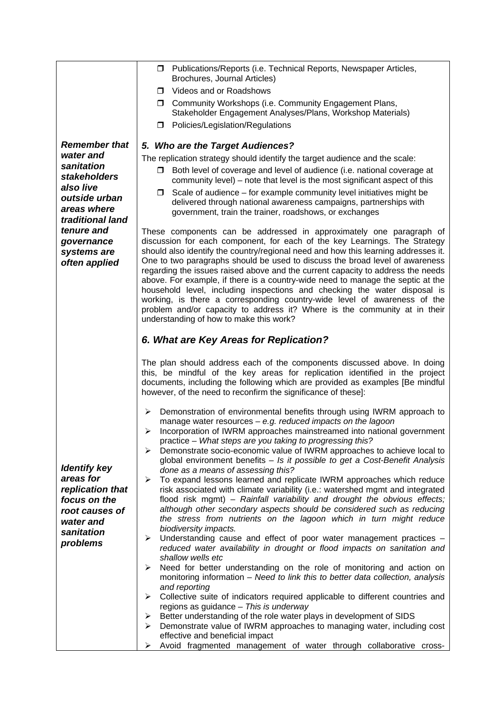<span id="page-15-0"></span>

|                                                                              | □ Publications/Reports (i.e. Technical Reports, Newspaper Articles,                                                                                                                                                                                                                                                                                                                                                                                                                                                                 |
|------------------------------------------------------------------------------|-------------------------------------------------------------------------------------------------------------------------------------------------------------------------------------------------------------------------------------------------------------------------------------------------------------------------------------------------------------------------------------------------------------------------------------------------------------------------------------------------------------------------------------|
|                                                                              | Brochures, Journal Articles)                                                                                                                                                                                                                                                                                                                                                                                                                                                                                                        |
|                                                                              | Videos and or Roadshows<br>□                                                                                                                                                                                                                                                                                                                                                                                                                                                                                                        |
|                                                                              | <b>I</b> Community Workshops (i.e. Community Engagement Plans,<br>Stakeholder Engagement Analyses/Plans, Workshop Materials)                                                                                                                                                                                                                                                                                                                                                                                                        |
|                                                                              | Policies/Legislation/Regulations<br>□                                                                                                                                                                                                                                                                                                                                                                                                                                                                                               |
| <b>Remember that</b>                                                         | 5. Who are the Target Audiences?                                                                                                                                                                                                                                                                                                                                                                                                                                                                                                    |
| water and                                                                    | The replication strategy should identify the target audience and the scale:                                                                                                                                                                                                                                                                                                                                                                                                                                                         |
| sanitation<br>stakeholders                                                   | Both level of coverage and level of audience (i.e. national coverage at<br>□                                                                                                                                                                                                                                                                                                                                                                                                                                                        |
| also live                                                                    | community level) – note that level is the most significant aspect of this<br>Scale of audience – for example community level initiatives might be<br>0                                                                                                                                                                                                                                                                                                                                                                              |
| outside urban<br>areas where                                                 | delivered through national awareness campaigns, partnerships with<br>government, train the trainer, roadshows, or exchanges                                                                                                                                                                                                                                                                                                                                                                                                         |
| traditional land                                                             |                                                                                                                                                                                                                                                                                                                                                                                                                                                                                                                                     |
| tenure and<br>governance<br>systems are                                      | These components can be addressed in approximately one paragraph of<br>discussion for each component, for each of the key Learnings. The Strategy<br>should also identify the country/regional need and how this learning addresses it.                                                                                                                                                                                                                                                                                             |
| often applied                                                                | One to two paragraphs should be used to discuss the broad level of awareness<br>regarding the issues raised above and the current capacity to address the needs<br>above. For example, if there is a country-wide need to manage the septic at the<br>household level, including inspections and checking the water disposal is<br>working, is there a corresponding country-wide level of awareness of the<br>problem and/or capacity to address it? Where is the community at in their<br>understanding of how to make this work? |
|                                                                              | 6. What are Key Areas for Replication?                                                                                                                                                                                                                                                                                                                                                                                                                                                                                              |
|                                                                              | The plan should address each of the components discussed above. In doing<br>this, be mindful of the key areas for replication identified in the project<br>documents, including the following which are provided as examples [Be mindful<br>however, of the need to reconfirm the significance of these]:                                                                                                                                                                                                                           |
| <b>Identify key</b>                                                          | Demonstration of environmental benefits through using IWRM approach to<br>➤<br>manage water resources $-$ e.g. reduced impacts on the lagoon<br>Incorporation of IWRM approaches mainstreamed into national government<br>➤<br>practice - What steps are you taking to progressing this?<br>Demonstrate socio-economic value of IWRM approaches to achieve local to<br>➤<br>global environment benefits - Is it possible to get a Cost-Benefit Analysis<br>done as a means of assessing this?                                       |
| areas for<br>replication that<br>focus on the<br>root causes of<br>water and | To expand lessons learned and replicate IWRM approaches which reduce<br>➤<br>risk associated with climate variability (i.e.: watershed mgmt and integrated<br>flood risk mgmt) - Rainfall variability and drought the obvious effects;<br>although other secondary aspects should be considered such as reducing<br>the stress from nutrients on the lagoon which in turn might reduce<br>biodiversity impacts.                                                                                                                     |
| sanitation<br>problems                                                       | Understanding cause and effect of poor water management practices -<br>➤<br>reduced water availability in drought or flood impacts on sanitation and<br>shallow wells etc                                                                                                                                                                                                                                                                                                                                                           |
|                                                                              | Need for better understanding on the role of monitoring and action on<br>➤<br>monitoring information - Need to link this to better data collection, analysis<br>and reporting                                                                                                                                                                                                                                                                                                                                                       |
|                                                                              | Collective suite of indicators required applicable to different countries and<br>➤<br>regions as guidance - This is underway                                                                                                                                                                                                                                                                                                                                                                                                        |
|                                                                              | Better understanding of the role water plays in development of SIDS<br>➤<br>Demonstrate value of IWRM approaches to managing water, including cost<br>➤                                                                                                                                                                                                                                                                                                                                                                             |
|                                                                              | effective and beneficial impact<br>Avoid fragmented management of water through collaborative cross-<br>➤                                                                                                                                                                                                                                                                                                                                                                                                                           |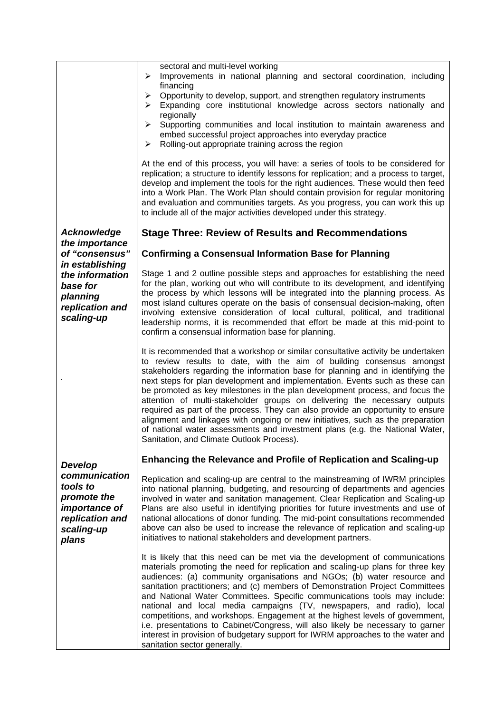<span id="page-16-0"></span>

|                                                                                                            | sectoral and multi-level working<br>Improvements in national planning and sectoral coordination, including<br>➤                                                                                                                                                                                                                                                                                                                                                                                                                                                                                                                                                                                                                                                                              |
|------------------------------------------------------------------------------------------------------------|----------------------------------------------------------------------------------------------------------------------------------------------------------------------------------------------------------------------------------------------------------------------------------------------------------------------------------------------------------------------------------------------------------------------------------------------------------------------------------------------------------------------------------------------------------------------------------------------------------------------------------------------------------------------------------------------------------------------------------------------------------------------------------------------|
|                                                                                                            | financing<br>Opportunity to develop, support, and strengthen regulatory instruments<br>➤<br>Expanding core institutional knowledge across sectors nationally and<br>≻                                                                                                                                                                                                                                                                                                                                                                                                                                                                                                                                                                                                                        |
|                                                                                                            | regionally<br>Supporting communities and local institution to maintain awareness and<br>➤                                                                                                                                                                                                                                                                                                                                                                                                                                                                                                                                                                                                                                                                                                    |
|                                                                                                            | embed successful project approaches into everyday practice<br>Rolling-out appropriate training across the region<br>➤                                                                                                                                                                                                                                                                                                                                                                                                                                                                                                                                                                                                                                                                        |
|                                                                                                            | At the end of this process, you will have: a series of tools to be considered for<br>replication; a structure to identify lessons for replication; and a process to target,<br>develop and implement the tools for the right audiences. These would then feed<br>into a Work Plan. The Work Plan should contain provision for regular monitoring<br>and evaluation and communities targets. As you progress, you can work this up<br>to include all of the major activities developed under this strategy.                                                                                                                                                                                                                                                                                   |
| <b>Acknowledge</b><br>the importance                                                                       | <b>Stage Three: Review of Results and Recommendations</b>                                                                                                                                                                                                                                                                                                                                                                                                                                                                                                                                                                                                                                                                                                                                    |
| of "consensus"<br>in establishing                                                                          | <b>Confirming a Consensual Information Base for Planning</b>                                                                                                                                                                                                                                                                                                                                                                                                                                                                                                                                                                                                                                                                                                                                 |
| the information<br>base for<br>planning<br>replication and<br>scaling-up                                   | Stage 1 and 2 outline possible steps and approaches for establishing the need<br>for the plan, working out who will contribute to its development, and identifying<br>the process by which lessons will be integrated into the planning process. As<br>most island cultures operate on the basis of consensual decision-making, often<br>involving extensive consideration of local cultural, political, and traditional<br>leadership norms, it is recommended that effort be made at this mid-point to<br>confirm a consensual information base for planning.                                                                                                                                                                                                                              |
|                                                                                                            | It is recommended that a workshop or similar consultative activity be undertaken<br>to review results to date, with the aim of building consensus amongst<br>stakeholders regarding the information base for planning and in identifying the<br>next steps for plan development and implementation. Events such as these can<br>be promoted as key milestones in the plan development process, and focus the<br>attention of multi-stakeholder groups on delivering the necessary outputs<br>required as part of the process. They can also provide an opportunity to ensure<br>alignment and linkages with ongoing or new initiatives, such as the preparation<br>of national water assessments and investment plans (e.g. the National Water,<br>Sanitation, and Climate Outlook Process). |
| Develop                                                                                                    | <b>Enhancing the Relevance and Profile of Replication and Scaling-up</b>                                                                                                                                                                                                                                                                                                                                                                                                                                                                                                                                                                                                                                                                                                                     |
| communication<br>tools to<br>promote the<br><i>importance of</i><br>replication and<br>scaling-up<br>plans | Replication and scaling-up are central to the mainstreaming of IWRM principles<br>into national planning, budgeting, and resourcing of departments and agencies<br>involved in water and sanitation management. Clear Replication and Scaling-up<br>Plans are also useful in identifying priorities for future investments and use of<br>national allocations of donor funding. The mid-point consultations recommended<br>above can also be used to increase the relevance of replication and scaling-up<br>initiatives to national stakeholders and development partners.                                                                                                                                                                                                                  |
|                                                                                                            | It is likely that this need can be met via the development of communications<br>materials promoting the need for replication and scaling-up plans for three key<br>audiences: (a) community organisations and NGOs; (b) water resource and<br>sanitation practitioners; and (c) members of Demonstration Project Committees<br>and National Water Committees. Specific communications tools may include:<br>national and local media campaigns (TV, newspapers, and radio), local<br>competitions, and workshops. Engagement at the highest levels of government,<br>i.e. presentations to Cabinet/Congress, will also likely be necessary to garner<br>interest in provision of budgetary support for IWRM approaches to the water and<br>sanitation sector generally.                      |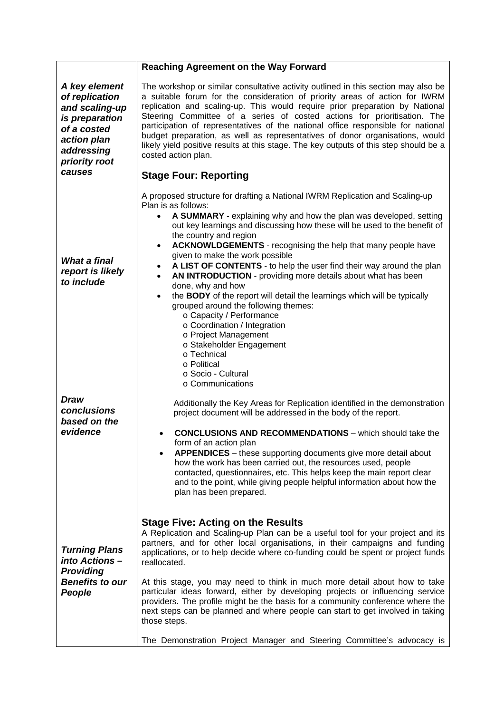<span id="page-17-0"></span>

|                                                                                                                                            | <b>Reaching Agreement on the Way Forward</b>                                                                                                                                                                                                                                                                                                                                                                                                                                                                                                                                                                                                                                                                                                                                                                                                                                                                                  |
|--------------------------------------------------------------------------------------------------------------------------------------------|-------------------------------------------------------------------------------------------------------------------------------------------------------------------------------------------------------------------------------------------------------------------------------------------------------------------------------------------------------------------------------------------------------------------------------------------------------------------------------------------------------------------------------------------------------------------------------------------------------------------------------------------------------------------------------------------------------------------------------------------------------------------------------------------------------------------------------------------------------------------------------------------------------------------------------|
| A key element<br>of replication<br>and scaling-up<br>is preparation<br>of a costed<br>action plan<br>addressing<br>priority root<br>causes | The workshop or similar consultative activity outlined in this section may also be<br>a suitable forum for the consideration of priority areas of action for IWRM<br>replication and scaling-up. This would require prior preparation by National<br>Steering Committee of a series of costed actions for prioritisation. The<br>participation of representatives of the national office responsible for national<br>budget preparation, as well as representatives of donor organisations, would<br>likely yield positive results at this stage. The key outputs of this step should be a<br>costed action plan.<br><b>Stage Four: Reporting</b>                                                                                                                                                                                                                                                                             |
| What a final<br>report is likely<br>to include                                                                                             | A proposed structure for drafting a National IWRM Replication and Scaling-up<br>Plan is as follows:<br>A SUMMARY - explaining why and how the plan was developed, setting<br>$\bullet$<br>out key learnings and discussing how these will be used to the benefit of<br>the country and region<br>ACKNOWLDGEMENTS - recognising the help that many people have<br>$\bullet$<br>given to make the work possible<br>A LIST OF CONTENTS - to help the user find their way around the plan<br>$\bullet$<br>AN INTRODUCTION - providing more details about what has been<br>$\bullet$<br>done, why and how<br>the BODY of the report will detail the learnings which will be typically<br>$\bullet$<br>grouped around the following themes:<br>o Capacity / Performance<br>o Coordination / Integration<br>o Project Management<br>o Stakeholder Engagement<br>o Technical<br>o Political<br>o Socio - Cultural<br>○ Communications |
| <b>Draw</b><br>conclusions<br>based on the<br>evidence                                                                                     | Additionally the Key Areas for Replication identified in the demonstration<br>project document will be addressed in the body of the report.<br><b>CONCLUSIONS AND RECOMMENDATIONS</b> - which should take the<br>form of an action plan<br>APPENDICES - these supporting documents give more detail about<br>$\bullet$<br>how the work has been carried out, the resources used, people<br>contacted, questionnaires, etc. This helps keep the main report clear<br>and to the point, while giving people helpful information about how the<br>plan has been prepared.                                                                                                                                                                                                                                                                                                                                                        |
| <b>Turning Plans</b><br>into Actions -<br><b>Providing</b><br><b>Benefits to our</b><br>People                                             | <b>Stage Five: Acting on the Results</b><br>A Replication and Scaling-up Plan can be a useful tool for your project and its<br>partners, and for other local organisations, in their campaigns and funding<br>applications, or to help decide where co-funding could be spent or project funds<br>reallocated.<br>At this stage, you may need to think in much more detail about how to take<br>particular ideas forward, either by developing projects or influencing service<br>providers. The profile might be the basis for a community conference where the<br>next steps can be planned and where people can start to get involved in taking<br>those steps.<br>The Demonstration Project Manager and Steering Committee's advocacy is                                                                                                                                                                                  |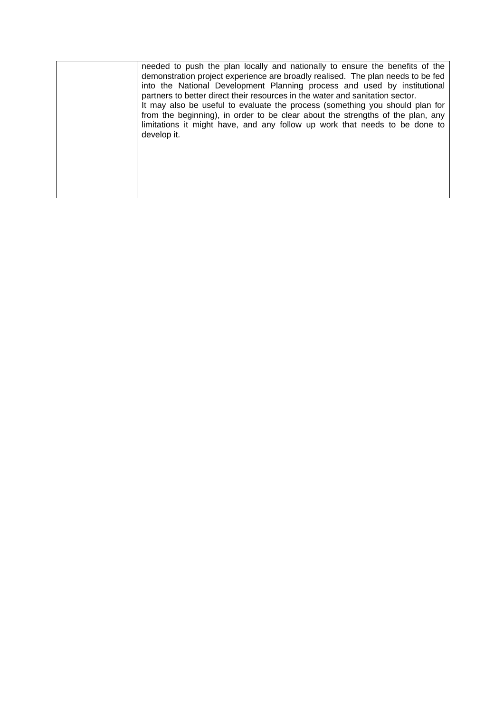| needed to push the plan locally and nationally to ensure the benefits of the<br>demonstration project experience are broadly realised. The plan needs to be fed<br>into the National Development Planning process and used by institutional<br>partners to better direct their resources in the water and sanitation sector.<br>It may also be useful to evaluate the process (something you should plan for |
|--------------------------------------------------------------------------------------------------------------------------------------------------------------------------------------------------------------------------------------------------------------------------------------------------------------------------------------------------------------------------------------------------------------|
| from the beginning), in order to be clear about the strengths of the plan, any<br>limitations it might have, and any follow up work that needs to be done to<br>develop it.                                                                                                                                                                                                                                  |
|                                                                                                                                                                                                                                                                                                                                                                                                              |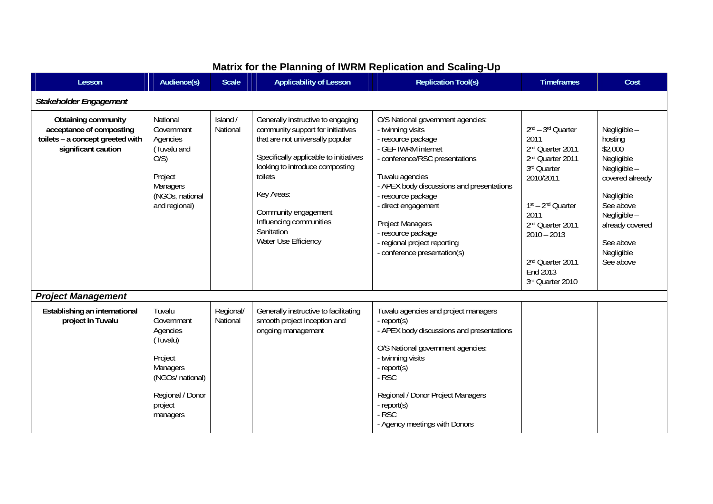| Lesson                                                                                                            | Audience(s)                                                                                                                               | <b>Scale</b>          | <b>Applicability of Lesson</b>                                                                                                                                                                                                                                                                            | <b>Replication Tool(s)</b>                                                                                                                                                                                                                                                                                                                                          | <b>Timeframes</b>                                                                                                                                                                                                                                       | Cost                                                                                                                                                                                      |
|-------------------------------------------------------------------------------------------------------------------|-------------------------------------------------------------------------------------------------------------------------------------------|-----------------------|-----------------------------------------------------------------------------------------------------------------------------------------------------------------------------------------------------------------------------------------------------------------------------------------------------------|---------------------------------------------------------------------------------------------------------------------------------------------------------------------------------------------------------------------------------------------------------------------------------------------------------------------------------------------------------------------|---------------------------------------------------------------------------------------------------------------------------------------------------------------------------------------------------------------------------------------------------------|-------------------------------------------------------------------------------------------------------------------------------------------------------------------------------------------|
| Stakeholder Engagement                                                                                            |                                                                                                                                           |                       |                                                                                                                                                                                                                                                                                                           |                                                                                                                                                                                                                                                                                                                                                                     |                                                                                                                                                                                                                                                         |                                                                                                                                                                                           |
| <b>Obtaining community</b><br>acceptance of composting<br>toilets - a concept greeted with<br>significant caution | National<br>Government<br>Agencies<br>(Tuvalu and<br>O(S)<br>Project<br>Managers<br>(NGOs, national<br>and regional)                      | Island /<br>National  | Generally instructive to engaging<br>community support for initiatives<br>that are not universally popular<br>Specifically applicable to initiatives<br>looking to introduce composting<br>toilets<br>Key Areas:<br>Community engagement<br>Influencing communities<br>Sanitation<br>Water Use Efficiency | O/S National government agencies:<br>- twinning visits<br>- resource package<br>- GEF IWRM internet<br>- conference/RSC presentations<br>Tuvalu agencies<br>- APEX body discussions and presentations<br>- resource package<br>- direct engagement<br><b>Project Managers</b><br>- resource package<br>- regional project reporting<br>- conference presentation(s) | 2nd - 3rd Quarter<br>2011<br>2 <sup>nd</sup> Quarter 2011<br>2 <sup>nd</sup> Quarter 2011<br>3rd Quarter<br>2010/2011<br>1st - 2nd Quarter<br>2011<br>2 <sup>nd</sup> Quarter 2011<br>$2010 - 2013$<br>2nd Quarter 2011<br>End 2013<br>3rd Quarter 2010 | Negligible -<br>hosting<br>\$2,000<br>Negligible<br>Negligible -<br>covered already<br>Negligible<br>See above<br>Negligible -<br>already covered<br>See above<br>Negligible<br>See above |
| <b>Project Management</b>                                                                                         |                                                                                                                                           |                       |                                                                                                                                                                                                                                                                                                           |                                                                                                                                                                                                                                                                                                                                                                     |                                                                                                                                                                                                                                                         |                                                                                                                                                                                           |
| Establishing an international<br>project in Tuvalu                                                                | Tuvalu<br>Government<br>Agencies<br>(Tuvalu)<br>Project<br><b>Managers</b><br>(NGOs/ national)<br>Regional / Donor<br>project<br>managers | Regional/<br>National | Generally instructive to facilitating<br>smooth project inception and<br>ongoing management                                                                                                                                                                                                               | Tuvalu agencies and project managers<br>- report(s)<br>- APEX body discussions and presentations<br>O/S National government agencies:<br>- twinning visits<br>- report(s)<br>- RSC<br>Regional / Donor Project Managers<br>- report(s)<br>$-RSC$<br>- Agency meetings with Donors                                                                                   |                                                                                                                                                                                                                                                         |                                                                                                                                                                                           |

### **Matrix for the Planning of IWRM Replication and Scaling-Up**